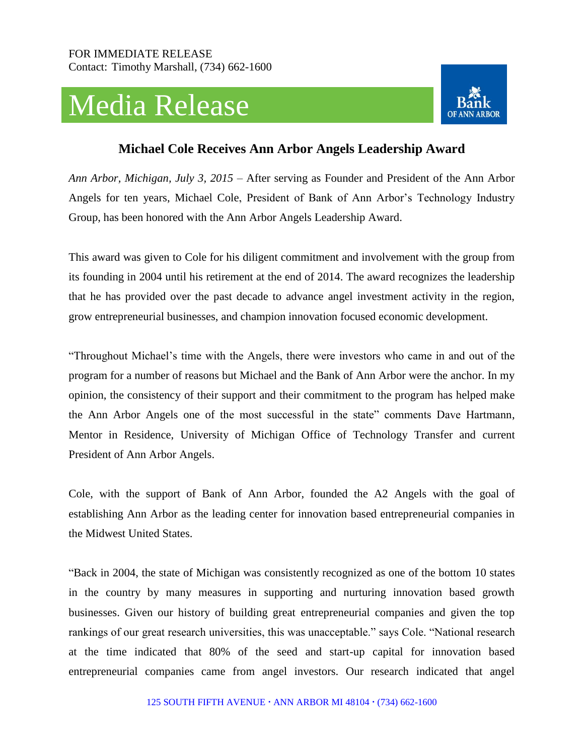## Media Release



## **Michael Cole Receives Ann Arbor Angels Leadership Award**

*Ann Arbor, Michigan, July 3, 2015* – After serving as Founder and President of the Ann Arbor Angels for ten years, Michael Cole, President of Bank of Ann Arbor's Technology Industry Group, has been honored with the Ann Arbor Angels Leadership Award.

This award was given to Cole for his diligent commitment and involvement with the group from its founding in 2004 until his retirement at the end of 2014. The award recognizes the leadership that he has provided over the past decade to advance angel investment activity in the region, grow entrepreneurial businesses, and champion innovation focused economic development.

"Throughout Michael's time with the Angels, there were investors who came in and out of the program for a number of reasons but Michael and the Bank of Ann Arbor were the anchor. In my opinion, the consistency of their support and their commitment to the program has helped make the Ann Arbor Angels one of the most successful in the state" comments Dave Hartmann, Mentor in Residence, University of Michigan Office of Technology Transfer and current President of Ann Arbor Angels.

Cole, with the support of Bank of Ann Arbor, founded the A2 Angels with the goal of establishing Ann Arbor as the leading center for innovation based entrepreneurial companies in the Midwest United States.

"Back in 2004, the state of Michigan was consistently recognized as one of the bottom 10 states in the country by many measures in supporting and nurturing innovation based growth businesses. Given our history of building great entrepreneurial companies and given the top rankings of our great research universities, this was unacceptable." says Cole. "National research at the time indicated that 80% of the seed and start-up capital for innovation based entrepreneurial companies came from angel investors. Our research indicated that angel